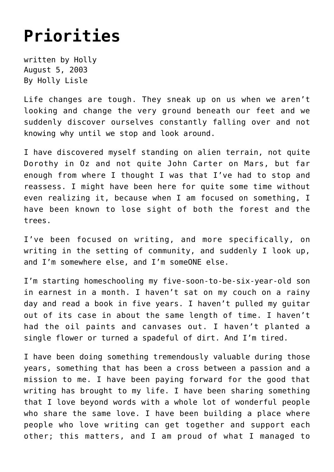## **[Priorities](https://hollylisle.com/priorities/)**

written by Holly August 5, 2003 [By Holly Lisle](https://hollylisle.com)

Life changes are tough. They sneak up on us when we aren't looking and change the very ground beneath our feet and we suddenly discover ourselves constantly falling over and not knowing why until we stop and look around.

I have discovered myself standing on alien terrain, not quite Dorothy in Oz and not quite John Carter on Mars, but far enough from where I thought I was that I've had to stop and reassess. I might have been here for quite some time without even realizing it, because when I am focused on something, I have been known to lose sight of both the forest and the trees.

I've been focused on writing, and more specifically, on writing in the setting of community, and suddenly I look up, and I'm somewhere else, and I'm someONE else.

I'm starting homeschooling my five-soon-to-be-six-year-old son in earnest in a month. I haven't sat on my couch on a rainy day and read a book in five years. I haven't pulled my guitar out of its case in about the same length of time. I haven't had the oil paints and canvases out. I haven't planted a single flower or turned a spadeful of dirt. And I'm tired.

I have been doing something tremendously valuable during those years, something that has been a cross between a passion and a mission to me. I have been paying forward for the good that writing has brought to my life. I have been sharing something that I love beyond words with a whole lot of wonderful people who share the same love. I have been building a place where people who love writing can get together and support each other; this matters, and I am proud of what I managed to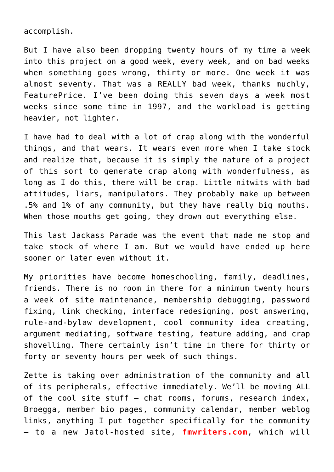accomplish.

But I have also been dropping twenty hours of my time a week into this project on a good week, every week, and on bad weeks when something goes wrong, thirty or more. One week it was almost seventy. That was a REALLY bad week, thanks muchly, FeaturePrice. I've been doing this seven days a week most weeks since some time in 1997, and the workload is getting heavier, not lighter.

I have had to deal with a lot of crap along with the wonderful things, and that wears. It wears even more when I take stock and realize that, because it is simply the nature of a project of this sort to generate crap along with wonderfulness, as long as I do this, there will be crap. Little nitwits with bad attitudes, liars, manipulators. They probably make up between .5% and 1% of any community, but they have really big mouths. When those mouths get going, they drown out everything else.

This last Jackass Parade was the event that made me stop and take stock of where I am. But we would have ended up here sooner or later even without it.

My priorities have become homeschooling, family, deadlines, friends. There is no room in there for a minimum twenty hours a week of site maintenance, membership debugging, password fixing, link checking, interface redesigning, post answering, rule-and-bylaw development, cool community idea creating, argument mediating, software testing, feature adding, and crap shovelling. There certainly isn't time in there for thirty or forty or seventy hours per week of such things.

Zette is taking over administration of the community and all of its peripherals, effective immediately. We'll be moving ALL of the cool site stuff — chat rooms, forums, research index, Broegga, member bio pages, community calendar, member weblog links, anything I put together specifically for the community — to a new Jatol-hosted site, **fmwriters.com**, which will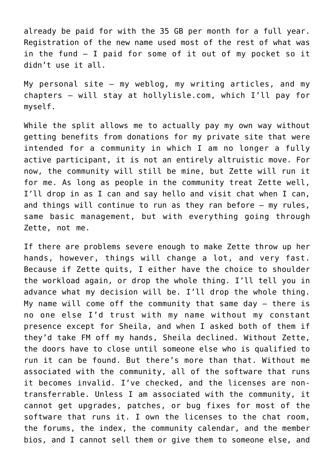already be paid for with the 35 GB per month for a full year. Registration of the new name used most of the rest of what was in the fund — I paid for some of it out of my pocket so it didn't use it all.

My personal site — my weblog, my writing articles, and my chapters — will stay at hollylisle.com, which I'll pay for myself.

While the split allows me to actually pay my own way without getting benefits from donations for my private site that were intended for a community in which I am no longer a fully active participant, it is not an entirely altruistic move. For now, the community will still be mine, but Zette will run it for me. As long as people in the community treat Zette well, I'll drop in as I can and say hello and visit chat when I can, and things will continue to run as they ran before — my rules, same basic management, but with everything going through Zette, not me.

If there are problems severe enough to make Zette throw up her hands, however, things will change a lot, and very fast. Because if Zette quits, I either have the choice to shoulder the workload again, or drop the whole thing. I'll tell you in advance what my decision will be. I'll drop the whole thing. My name will come off the community that same day — there is no one else I'd trust with my name without my constant presence except for Sheila, and when I asked both of them if they'd take FM off my hands, Sheila declined. Without Zette, the doors have to close until someone else who is qualified to run it can be found. But there's more than that. Without me associated with the community, all of the software that runs it becomes invalid. I've checked, and the licenses are nontransferrable. Unless I am associated with the community, it cannot get upgrades, patches, or bug fixes for most of the software that runs it. I own the licenses to the chat room, the forums, the index, the community calendar, and the member bios, and I cannot sell them or give them to someone else, and